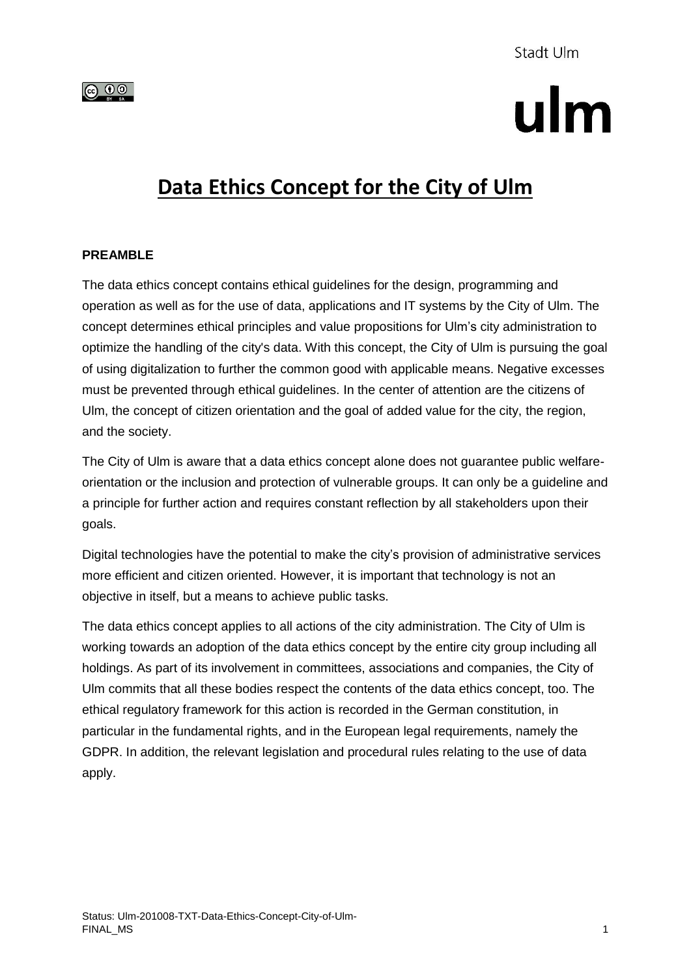

# ulm

## **Data Ethics Concept for the City of Ulm**

#### **PREAMBLE**

The data ethics concept contains ethical guidelines for the design, programming and operation as well as for the use of data, applications and IT systems by the City of Ulm. The concept determines ethical principles and value propositions for Ulm's city administration to optimize the handling of the city's data. With this concept, the City of Ulm is pursuing the goal of using digitalization to further the common good with applicable means. Negative excesses must be prevented through ethical guidelines. In the center of attention are the citizens of Ulm, the concept of citizen orientation and the goal of added value for the city, the region, and the society.

The City of Ulm is aware that a data ethics concept alone does not guarantee public welfareorientation or the inclusion and protection of vulnerable groups. It can only be a guideline and a principle for further action and requires constant reflection by all stakeholders upon their goals.

Digital technologies have the potential to make the city's provision of administrative services more efficient and citizen oriented. However, it is important that technology is not an objective in itself, but a means to achieve public tasks.

The data ethics concept applies to all actions of the city administration. The City of Ulm is working towards an adoption of the data ethics concept by the entire city group including all holdings. As part of its involvement in committees, associations and companies, the City of Ulm commits that all these bodies respect the contents of the data ethics concept, too. The ethical regulatory framework for this action is recorded in the German constitution, in particular in the fundamental rights, and in the European legal requirements, namely the GDPR. In addition, the relevant legislation and procedural rules relating to the use of data apply.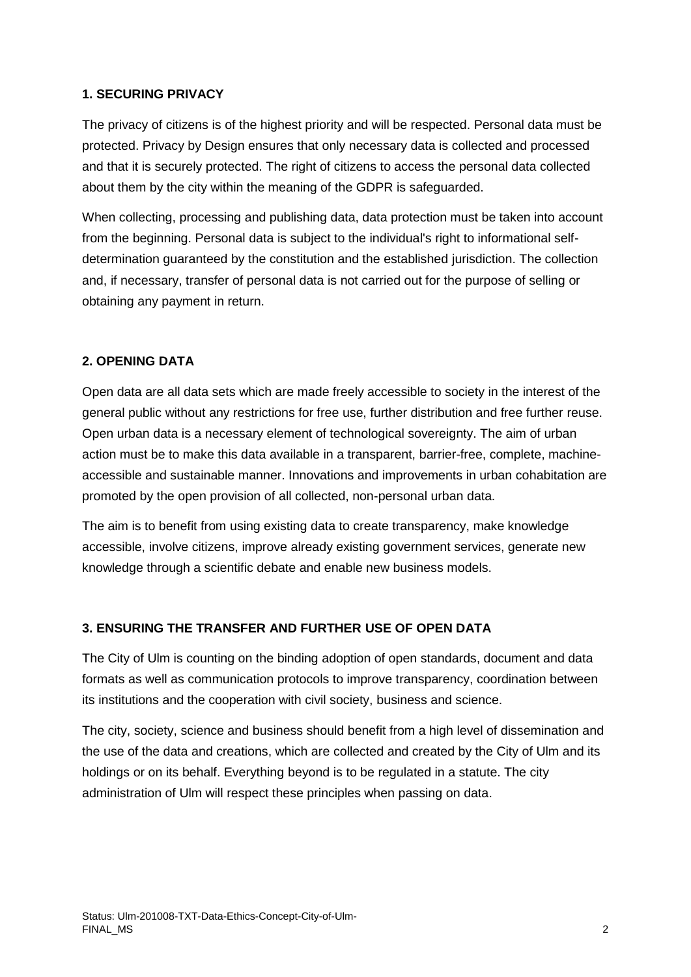#### **1. SECURING PRIVACY**

The privacy of citizens is of the highest priority and will be respected. Personal data must be protected. Privacy by Design ensures that only necessary data is collected and processed and that it is securely protected. The right of citizens to access the personal data collected about them by the city within the meaning of the GDPR is safeguarded.

When collecting, processing and publishing data, data protection must be taken into account from the beginning. Personal data is subject to the individual's right to informational selfdetermination guaranteed by the constitution and the established jurisdiction. The collection and, if necessary, transfer of personal data is not carried out for the purpose of selling or obtaining any payment in return.

#### **2. OPENING DATA**

Open data are all data sets which are made freely accessible to society in the interest of the general public without any restrictions for free use, further distribution and free further reuse. Open urban data is a necessary element of technological sovereignty. The aim of urban action must be to make this data available in a transparent, barrier-free, complete, machineaccessible and sustainable manner. Innovations and improvements in urban cohabitation are promoted by the open provision of all collected, non-personal urban data.

The aim is to benefit from using existing data to create transparency, make knowledge accessible, involve citizens, improve already existing government services, generate new knowledge through a scientific debate and enable new business models.

#### **3. ENSURING THE TRANSFER AND FURTHER USE OF OPEN DATA**

The City of Ulm is counting on the binding adoption of open standards, document and data formats as well as communication protocols to improve transparency, coordination between its institutions and the cooperation with civil society, business and science.

The city, society, science and business should benefit from a high level of dissemination and the use of the data and creations, which are collected and created by the City of Ulm and its holdings or on its behalf. Everything beyond is to be regulated in a statute. The city administration of Ulm will respect these principles when passing on data.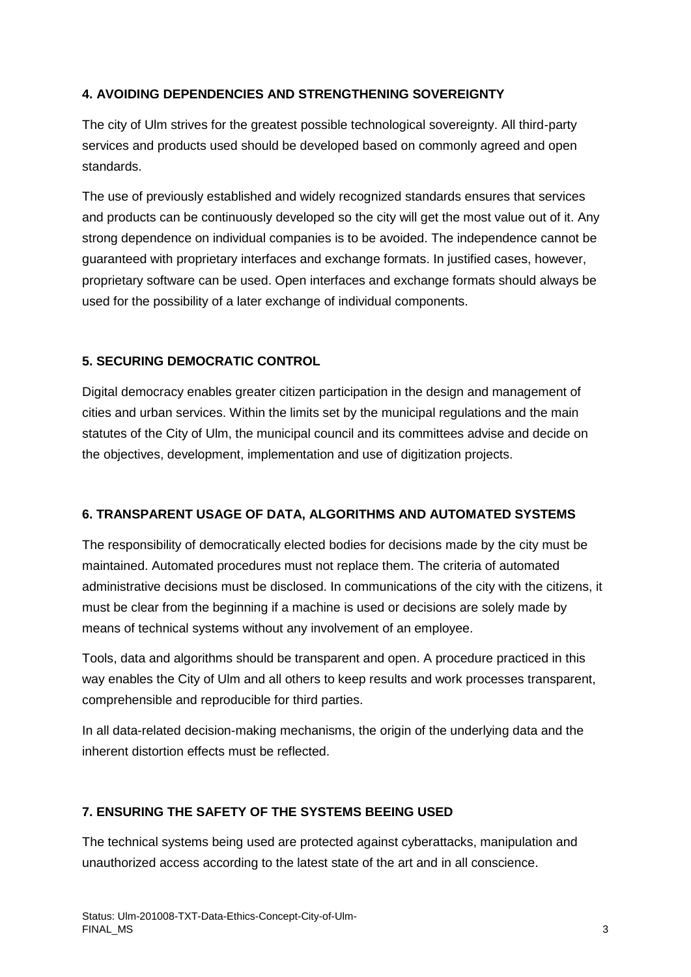#### **4. AVOIDING DEPENDENCIES AND STRENGTHENING SOVEREIGNTY**

The city of Ulm strives for the greatest possible technological sovereignty. All third-party services and products used should be developed based on commonly agreed and open standards.

The use of previously established and widely recognized standards ensures that services and products can be continuously developed so the city will get the most value out of it. Any strong dependence on individual companies is to be avoided. The independence cannot be guaranteed with proprietary interfaces and exchange formats. In justified cases, however, proprietary software can be used. Open interfaces and exchange formats should always be used for the possibility of a later exchange of individual components.

#### **5. SECURING DEMOCRATIC CONTROL**

Digital democracy enables greater citizen participation in the design and management of cities and urban services. Within the limits set by the municipal regulations and the main statutes of the City of Ulm, the municipal council and its committees advise and decide on the objectives, development, implementation and use of digitization projects.

#### **6. TRANSPARENT USAGE OF DATA, ALGORITHMS AND AUTOMATED SYSTEMS**

The responsibility of democratically elected bodies for decisions made by the city must be maintained. Automated procedures must not replace them. The criteria of automated administrative decisions must be disclosed. In communications of the city with the citizens, it must be clear from the beginning if a machine is used or decisions are solely made by means of technical systems without any involvement of an employee.

Tools, data and algorithms should be transparent and open. A procedure practiced in this way enables the City of Ulm and all others to keep results and work processes transparent, comprehensible and reproducible for third parties.

In all data-related decision-making mechanisms, the origin of the underlying data and the inherent distortion effects must be reflected.

#### **7. ENSURING THE SAFETY OF THE SYSTEMS BEEING USED**

The technical systems being used are protected against cyberattacks, manipulation and unauthorized access according to the latest state of the art and in all conscience.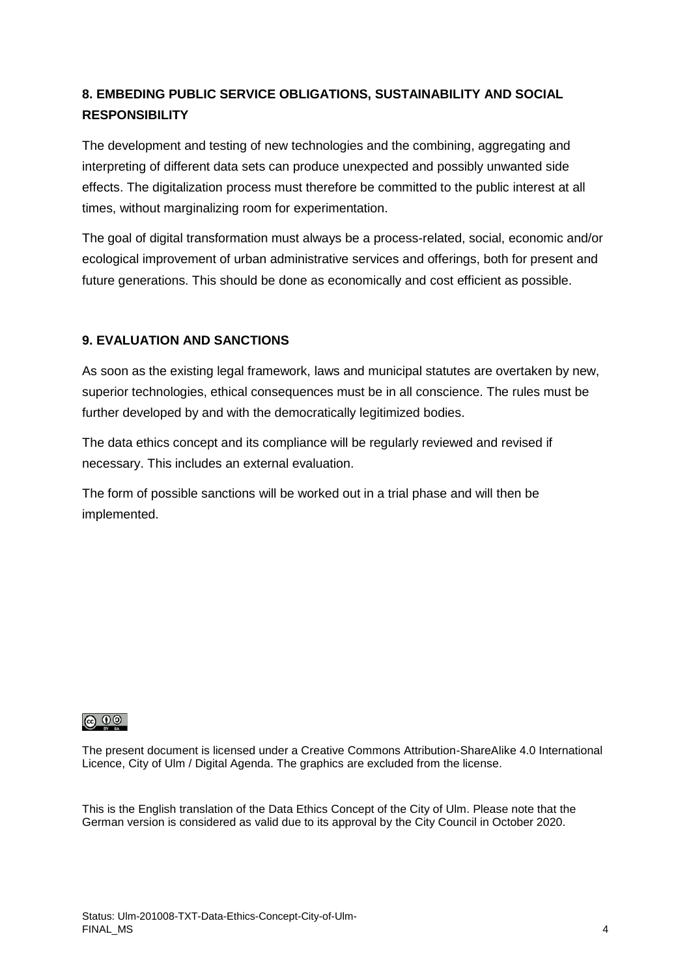### **8. EMBEDING PUBLIC SERVICE OBLIGATIONS, SUSTAINABILITY AND SOCIAL RESPONSIBILITY**

The development and testing of new technologies and the combining, aggregating and interpreting of different data sets can produce unexpected and possibly unwanted side effects. The digitalization process must therefore be committed to the public interest at all times, without marginalizing room for experimentation.

The goal of digital transformation must always be a process-related, social, economic and/or ecological improvement of urban administrative services and offerings, both for present and future generations. This should be done as economically and cost efficient as possible.

#### **9. EVALUATION AND SANCTIONS**

As soon as the existing legal framework, laws and municipal statutes are overtaken by new, superior technologies, ethical consequences must be in all conscience. The rules must be further developed by and with the democratically legitimized bodies.

The data ethics concept and its compliance will be regularly reviewed and revised if necessary. This includes an external evaluation.

The form of possible sanctions will be worked out in a trial phase and will then be implemented.

#### $\odot$   $\odot$

The present document is licensed under a Creative Commons Attribution-ShareAlike 4.0 International Licence, City of Ulm / Digital Agenda. The graphics are excluded from the license.

This is the English translation of the Data Ethics Concept of the City of Ulm. Please note that the German version is considered as valid due to its approval by the City Council in October 2020.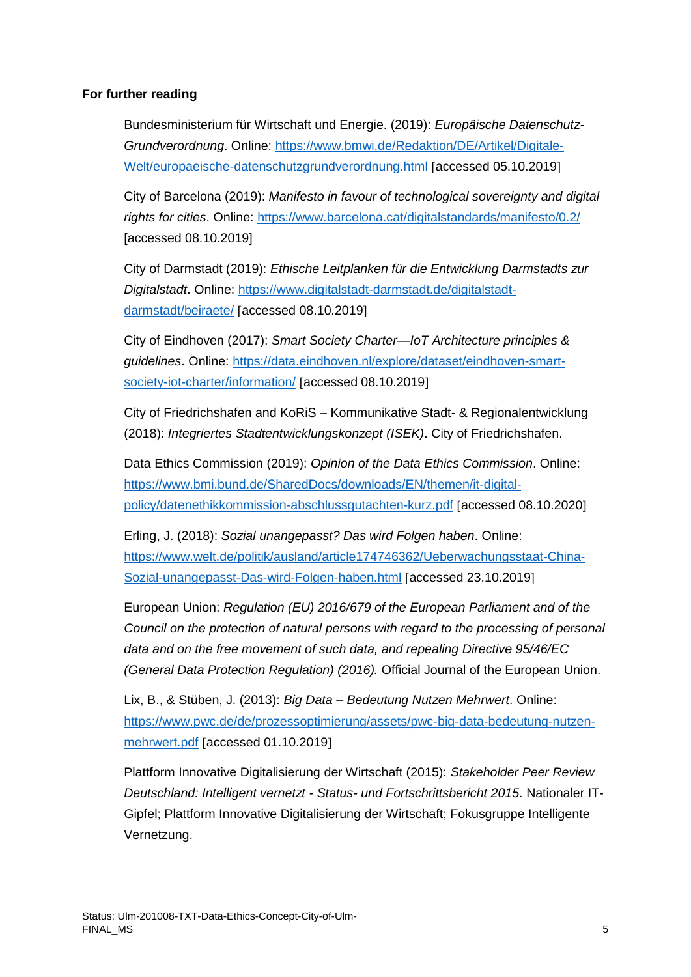#### **For further reading**

Bundesministerium für Wirtschaft und Energie. (2019): *Europäische Datenschutz-Grundverordnung*. Online: [https://www.bmwi.de/Redaktion/DE/Artikel/Digitale-](https://www.bmwi.de/Redaktion/DE/Artikel/Digitale-Welt/europaeische-datenschutzgrundverordnung.html)[Welt/europaeische-datenschutzgrundverordnung.html](https://www.bmwi.de/Redaktion/DE/Artikel/Digitale-Welt/europaeische-datenschutzgrundverordnung.html) [accessed 05.10.2019]

City of Barcelona (2019): *Manifesto in favour of technological sovereignty and digital rights for cities*. Online:<https://www.barcelona.cat/digitalstandards/manifesto/0.2/> [accessed 08.10.2019]

City of Darmstadt (2019): *Ethische Leitplanken für die Entwicklung Darmstadts zur Digitalstadt*. Online: [https://www.digitalstadt-darmstadt.de/digitalstadt](https://www.digitalstadt-darmstadt.de/digitalstadt-darmstadt/beiraete/)[darmstadt/beiraete/](https://www.digitalstadt-darmstadt.de/digitalstadt-darmstadt/beiraete/) [accessed 08.10.2019]

City of Eindhoven (2017): *Smart Society Charter—IoT Architecture principles & guidelines*. Online: [https://data.eindhoven.nl/explore/dataset/eindhoven-smart](https://data.eindhoven.nl/explore/dataset/eindhoven-smart-society-iot-charter/information/)[society-iot-charter/information/](https://data.eindhoven.nl/explore/dataset/eindhoven-smart-society-iot-charter/information/) [accessed 08.10.2019]

City of Friedrichshafen and KoRiS – Kommunikative Stadt- & Regionalentwicklung (2018): *Integriertes Stadtentwicklungskonzept (ISEK)*. City of Friedrichshafen.

Data Ethics Commission (2019): *Opinion of the Data Ethics Commission*. Online: [https://www.bmi.bund.de/SharedDocs/downloads/EN/themen/it-digital](https://www.bmi.bund.de/SharedDocs/downloads/EN/themen/it-digital-policy/datenethikkommission-abschlussgutachten-kurz.pdf)[policy/datenethikkommission-abschlussgutachten-kurz.pdf](https://www.bmi.bund.de/SharedDocs/downloads/EN/themen/it-digital-policy/datenethikkommission-abschlussgutachten-kurz.pdf) accessed 08.10.2020

Erling, J. (2018): *Sozial unangepasst? Das wird Folgen haben*. Online: [https://www.welt.de/politik/ausland/article174746362/Ueberwachungsstaat-China-](https://www.welt.de/politik/ausland/article174746362/Ueberwachungsstaat-China-Sozial-unangepasst-Das-wird-Folgen-haben.html)[Sozial-unangepasst-Das-wird-Folgen-haben.html](https://www.welt.de/politik/ausland/article174746362/Ueberwachungsstaat-China-Sozial-unangepasst-Das-wird-Folgen-haben.html) [accessed 23.10.2019]

European Union: *Regulation (EU) 2016/679 of the European Parliament and of the Council on the protection of natural persons with regard to the processing of personal data and on the free movement of such data, and repealing Directive 95/46/EC (General Data Protection Regulation) (2016).* Official Journal of the European Union.

Lix, B., & Stüben, J. (2013): *Big Data – Bedeutung Nutzen Mehrwert*. Online: [https://www.pwc.de/de/prozessoptimierung/assets/pwc-big-data-bedeutung-nutzen](https://www.pwc.de/de/prozessoptimierung/assets/pwc-big-data-bedeutung-nutzen-mehrwert.pdf)[mehrwert.pdf](https://www.pwc.de/de/prozessoptimierung/assets/pwc-big-data-bedeutung-nutzen-mehrwert.pdf) [accessed 01.10.2019]

Plattform Innovative Digitalisierung der Wirtschaft (2015): *Stakeholder Peer Review Deutschland: Intelligent vernetzt - Status- und Fortschrittsbericht 2015*. Nationaler IT-Gipfel; Plattform Innovative Digitalisierung der Wirtschaft; Fokusgruppe Intelligente Vernetzung.